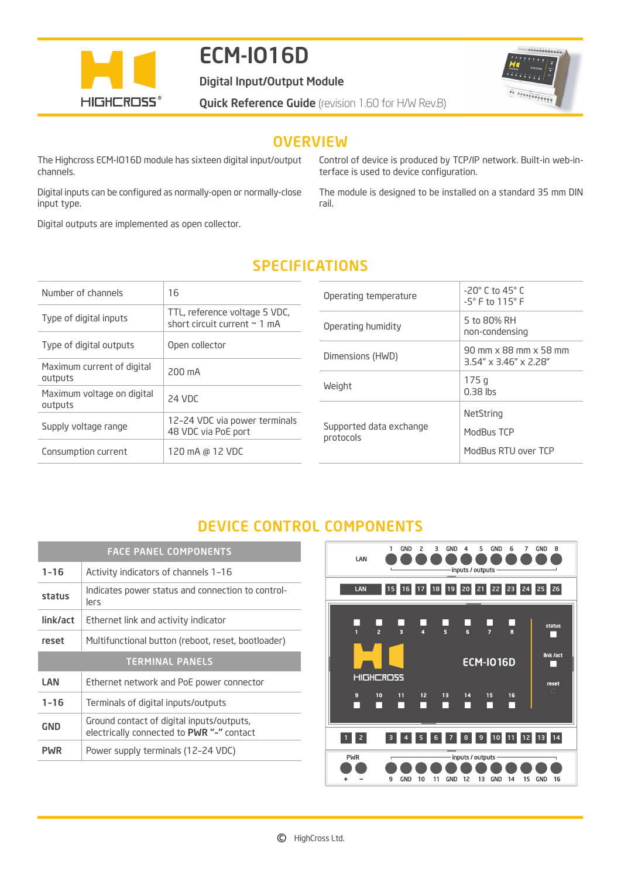

# ECM-IO16D

Digital Input/Output Module

or corrections.

**Quick Reference Guide** (revision 1.60 for H/W Rev.B)

## **OVERVIEW**

The Highcross ECM-IO16D module has sixteen digital input/output channels.

Digital inputs can be configured as normally-open or normally-close input type.

Digital outputs are implemented as open collector.

Control of device is produced by TCP/IP network. Built-in web-interface is used to device configuration.

The module is designed to be installed on a standard 35 mm DIN rail.

## SPECIFICATIONS

| Number of channels                    | 16                                                                 |
|---------------------------------------|--------------------------------------------------------------------|
| Type of digital inputs                | TTL, reference voltage 5 VDC,<br>short circuit current $\sim$ 1 mA |
| Type of digital outputs               | Open collector                                                     |
| Maximum current of digital<br>outputs | 200 mA                                                             |
| Maximum voltage on digital<br>outputs | 24 VDC                                                             |
| Supply voltage range                  | 12-24 VDC via power terminals<br>48 VDC via PoE port               |
| Consumption current                   | 120 mA @ 12 VDC                                                    |

| $-20^\circ$ C to 45 $^\circ$ C<br>$-5^\circ$ F to $115^\circ$ F |
|-----------------------------------------------------------------|
| 5 to 80% RH<br>non-condensing                                   |
| 90 mm x 88 mm x 58 mm<br>$3.54'' \times 3.46'' \times 2.28''$   |
| 175q<br>$0.38$ lbs                                              |
| NetString<br>ModBus TCP<br>ModBus RTU over TCP                  |
|                                                                 |

## DEVICE CONTROL COMPONENTS

| <b>FACE PANEL COMPONENTS</b> |                                                                                        |
|------------------------------|----------------------------------------------------------------------------------------|
| $1 - 16$                     | Activity indicators of channels 1-16                                                   |
| status                       | Indicates power status and connection to control-<br>lers                              |
| link/act                     | Ethernet link and activity indicator                                                   |
| reset                        | Multifunctional button (reboot, reset, bootloader)                                     |
| <b>TERMINAL PANELS</b>       |                                                                                        |
| LAN                          | Ethernet network and PoE power connector                                               |
| $1 - 16$                     | Terminals of digital inputs/outputs                                                    |
| GND                          | Ground contact of digital inputs/outputs,<br>electrically connected to PWR "-" contact |
| PWR                          | Power supply terminals (12-24 VDC)                                                     |